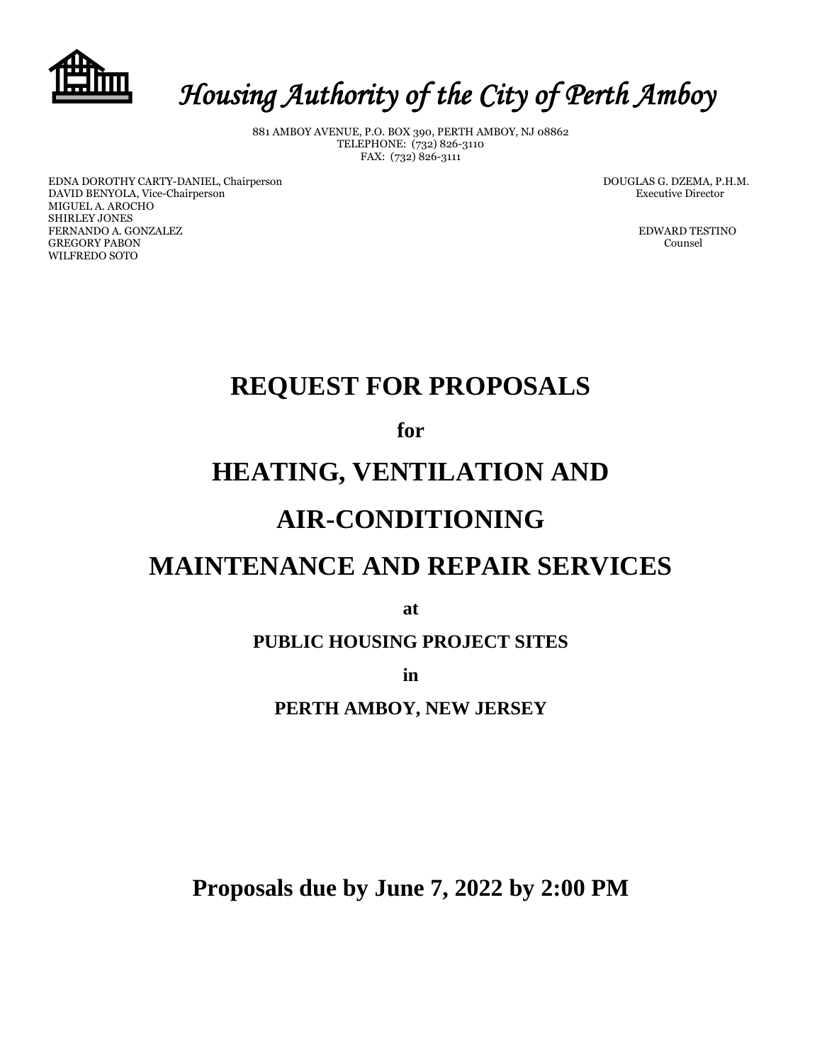

# *Housing Authority of the City of Perth Amboy*

881 AMBOY AVENUE, P.O. BOX 390, PERTH AMBOY, NJ 08862 TELEPHONE: (732) 826-3110 FAX: (732) 826-3111

EDNA DOROTHY CARTY-DANIEL, Chairperson DOUGLAS G. DZEMA, P.H.M. DAVID BENYOLA, Vice-Chairperson Executive Director MIGUEL A. AROCHO SHIRLEY JONES **FERNANDO A. GONZALEZ EDWARD TESTINO** GREGORY PABON Counsel WILFREDO SOTO

## **REQUEST FOR PROPOSALS**

**for**

## **HEATING, VENTILATION AND**

### **AIR-CONDITIONING**

## **MAINTENANCE AND REPAIR SERVICES**

**at**

**PUBLIC HOUSING PROJECT SITES**

**in** 

**PERTH AMBOY, NEW JERSEY**

**Proposals due by June 7, 2022 by 2:00 PM**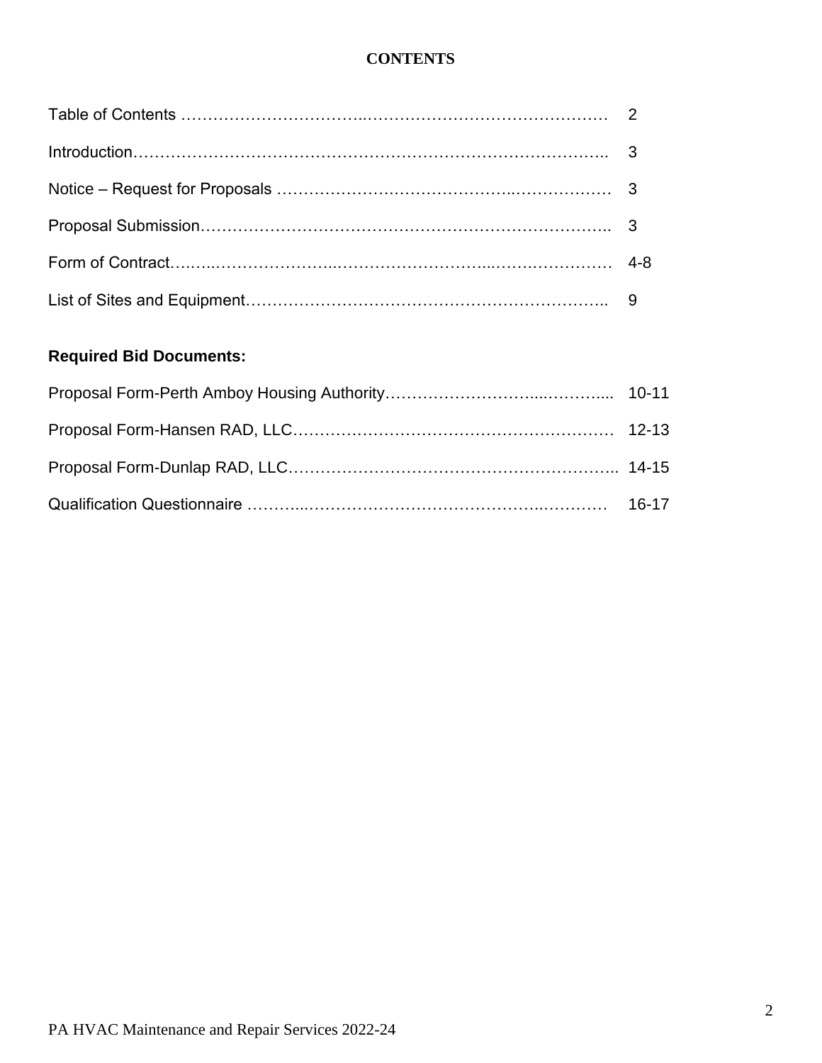### **CONTENTS**

### **Required Bid Documents:**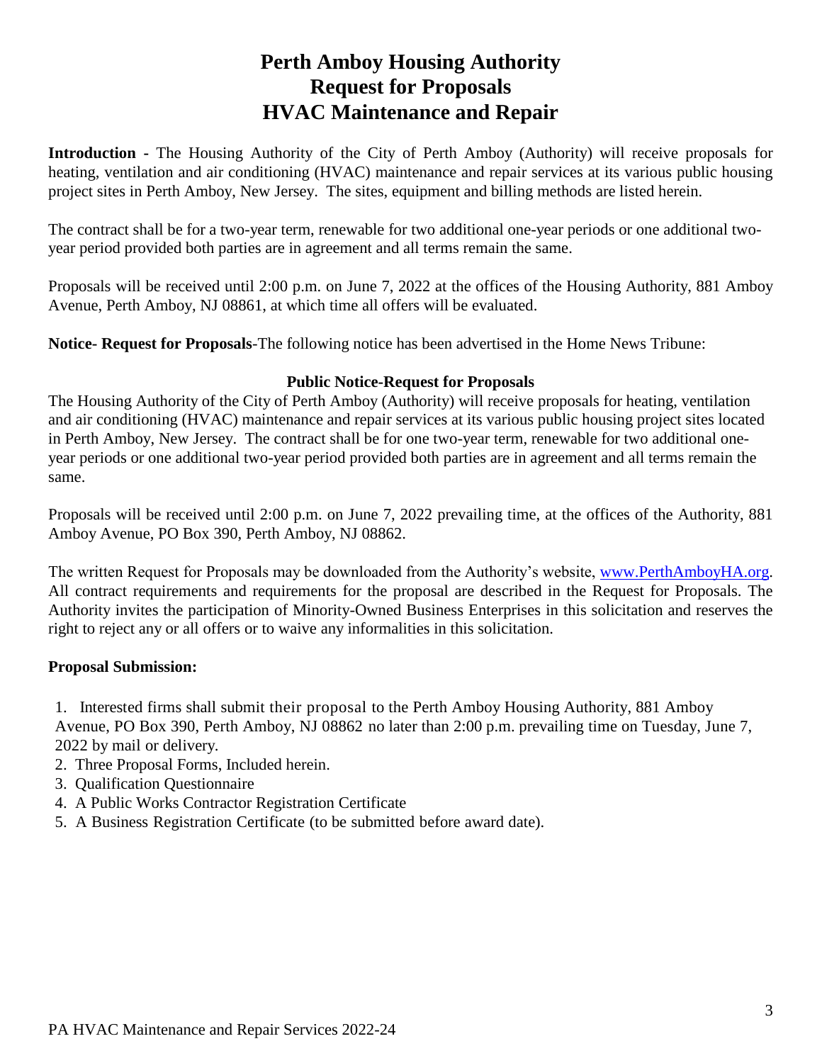### **Perth Amboy Housing Authority Request for Proposals HVAC Maintenance and Repair**

**Introduction -** The Housing Authority of the City of Perth Amboy (Authority) will receive proposals for heating, ventilation and air conditioning (HVAC) maintenance and repair services at its various public housing project sites in Perth Amboy, New Jersey. The sites, equipment and billing methods are listed herein.

The contract shall be for a two-year term, renewable for two additional one-year periods or one additional twoyear period provided both parties are in agreement and all terms remain the same.

Proposals will be received until 2:00 p.m. on June 7, 2022 at the offices of the Housing Authority, 881 Amboy Avenue, Perth Amboy, NJ 08861, at which time all offers will be evaluated.

**Notice- Request for Proposals**-The following notice has been advertised in the Home News Tribune:

#### **Public Notice-Request for Proposals**

The Housing Authority of the City of Perth Amboy (Authority) will receive proposals for heating, ventilation and air conditioning (HVAC) maintenance and repair services at its various public housing project sites located in Perth Amboy, New Jersey. The contract shall be for one two-year term, renewable for two additional oneyear periods or one additional two-year period provided both parties are in agreement and all terms remain the same.

Proposals will be received until 2:00 p.m. on June 7, 2022 prevailing time, at the offices of the Authority, 881 Amboy Avenue, PO Box 390, Perth Amboy, NJ 08862.

The written Request for Proposals may be downloaded from the Authority's website, [www.PerthAmboyHA.org.](http://www.perthamboyha.org/) All contract requirements and requirements for the proposal are described in the Request for Proposals. The Authority invites the participation of Minority-Owned Business Enterprises in this solicitation and reserves the right to reject any or all offers or to waive any informalities in this solicitation.

#### **Proposal Submission:**

1. Interested firms shall submit their proposal to the Perth Amboy Housing Authority, 881 Amboy Avenue, PO Box 390, Perth Amboy, NJ 08862 no later than 2:00 p.m. prevailing time on Tuesday, June 7, 2022 by mail or delivery.

- 2. Three Proposal Forms, Included herein.
- 3. Qualification Questionnaire
- 4. A Public Works Contractor Registration Certificate
- 5. A Business Registration Certificate (to be submitted before award date).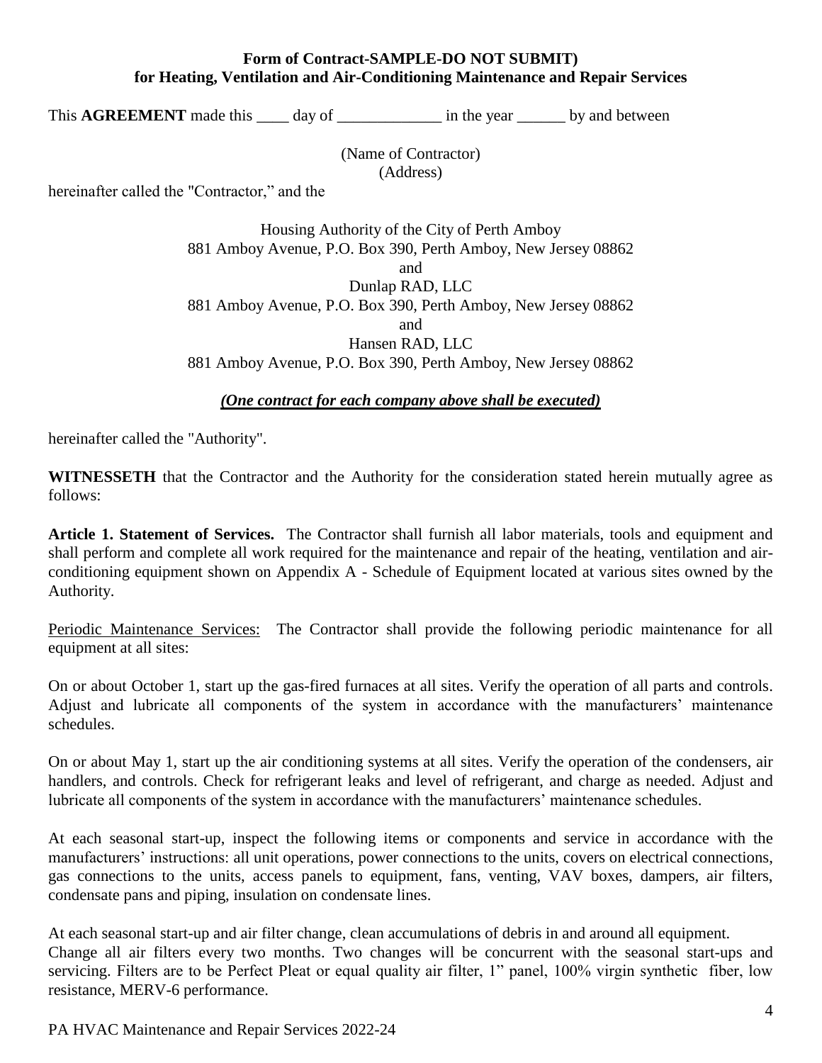#### **Form of Contract-SAMPLE-DO NOT SUBMIT) for Heating, Ventilation and Air-Conditioning Maintenance and Repair Services**

This **AGREEMENT** made this day of in the year by and between

(Name of Contractor) (Address)

hereinafter called the "Contractor," and the

Housing Authority of the City of Perth Amboy 881 Amboy Avenue, P.O. Box 390, Perth Amboy, New Jersey 08862 and Dunlap RAD, LLC 881 Amboy Avenue, P.O. Box 390, Perth Amboy, New Jersey 08862 and Hansen RAD, LLC 881 Amboy Avenue, P.O. Box 390, Perth Amboy, New Jersey 08862

#### *(One contract for each company above shall be executed)*

hereinafter called the "Authority".

**WITNESSETH** that the Contractor and the Authority for the consideration stated herein mutually agree as follows:

**Article 1. Statement of Services.** The Contractor shall furnish all labor materials, tools and equipment and shall perform and complete all work required for the maintenance and repair of the heating, ventilation and airconditioning equipment shown on Appendix A - Schedule of Equipment located at various sites owned by the Authority.

Periodic Maintenance Services: The Contractor shall provide the following periodic maintenance for all equipment at all sites:

On or about October 1, start up the gas-fired furnaces at all sites. Verify the operation of all parts and controls. Adjust and lubricate all components of the system in accordance with the manufacturers' maintenance schedules.

On or about May 1, start up the air conditioning systems at all sites. Verify the operation of the condensers, air handlers, and controls. Check for refrigerant leaks and level of refrigerant, and charge as needed. Adjust and lubricate all components of the system in accordance with the manufacturers' maintenance schedules.

At each seasonal start-up, inspect the following items or components and service in accordance with the manufacturers' instructions: all unit operations, power connections to the units, covers on electrical connections, gas connections to the units, access panels to equipment, fans, venting, VAV boxes, dampers, air filters, condensate pans and piping, insulation on condensate lines.

At each seasonal start-up and air filter change, clean accumulations of debris in and around all equipment. Change all air filters every two months. Two changes will be concurrent with the seasonal start-ups and servicing. Filters are to be Perfect Pleat or equal quality air filter, 1" panel, 100% virgin synthetic fiber, low resistance, MERV-6 performance.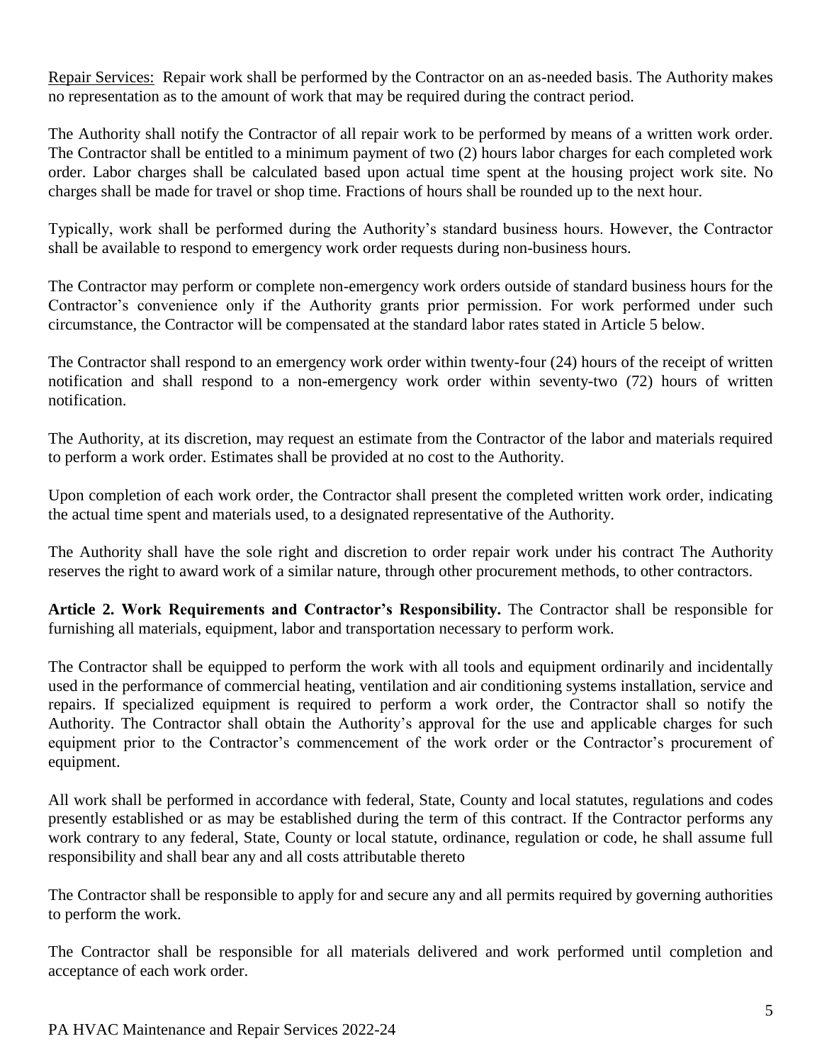Repair Services: Repair work shall be performed by the Contractor on an as-needed basis. The Authority makes no representation as to the amount of work that may be required during the contract period.

The Authority shall notify the Contractor of all repair work to be performed by means of a written work order. The Contractor shall be entitled to a minimum payment of two (2) hours labor charges for each completed work order. Labor charges shall be calculated based upon actual time spent at the housing project work site. No charges shall be made for travel or shop time. Fractions of hours shall be rounded up to the next hour.

Typically, work shall be performed during the Authority's standard business hours. However, the Contractor shall be available to respond to emergency work order requests during non-business hours.

The Contractor may perform or complete non-emergency work orders outside of standard business hours for the Contractor's convenience only if the Authority grants prior permission. For work performed under such circumstance, the Contractor will be compensated at the standard labor rates stated in Article 5 below.

The Contractor shall respond to an emergency work order within twenty-four (24) hours of the receipt of written notification and shall respond to a non-emergency work order within seventy-two (72) hours of written notification.

The Authority, at its discretion, may request an estimate from the Contractor of the labor and materials required to perform a work order. Estimates shall be provided at no cost to the Authority.

Upon completion of each work order, the Contractor shall present the completed written work order, indicating the actual time spent and materials used, to a designated representative of the Authority.

The Authority shall have the sole right and discretion to order repair work under his contract The Authority reserves the right to award work of a similar nature, through other procurement methods, to other contractors.

**Article 2. Work Requirements and Contractor's Responsibility.** The Contractor shall be responsible for furnishing all materials, equipment, labor and transportation necessary to perform work.

The Contractor shall be equipped to perform the work with all tools and equipment ordinarily and incidentally used in the performance of commercial heating, ventilation and air conditioning systems installation, service and repairs. If specialized equipment is required to perform a work order, the Contractor shall so notify the Authority. The Contractor shall obtain the Authority's approval for the use and applicable charges for such equipment prior to the Contractor's commencement of the work order or the Contractor's procurement of equipment.

All work shall be performed in accordance with federal, State, County and local statutes, regulations and codes presently established or as may be established during the term of this contract. If the Contractor performs any work contrary to any federal, State, County or local statute, ordinance, regulation or code, he shall assume full responsibility and shall bear any and all costs attributable thereto

The Contractor shall be responsible to apply for and secure any and all permits required by governing authorities to perform the work.

The Contractor shall be responsible for all materials delivered and work performed until completion and acceptance of each work order.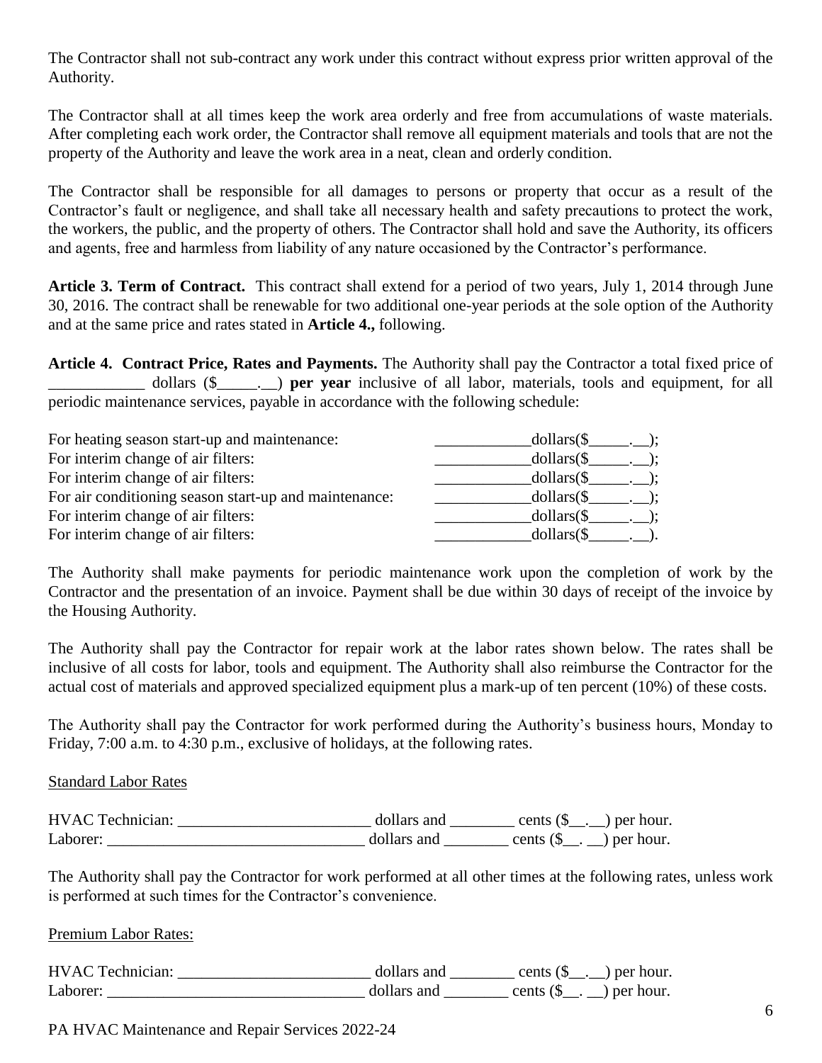The Contractor shall not sub-contract any work under this contract without express prior written approval of the Authority.

The Contractor shall at all times keep the work area orderly and free from accumulations of waste materials. After completing each work order, the Contractor shall remove all equipment materials and tools that are not the property of the Authority and leave the work area in a neat, clean and orderly condition.

The Contractor shall be responsible for all damages to persons or property that occur as a result of the Contractor's fault or negligence, and shall take all necessary health and safety precautions to protect the work, the workers, the public, and the property of others. The Contractor shall hold and save the Authority, its officers and agents, free and harmless from liability of any nature occasioned by the Contractor's performance.

**Article 3. Term of Contract.** This contract shall extend for a period of two years, July 1, 2014 through June 30, 2016. The contract shall be renewable for two additional one-year periods at the sole option of the Authority and at the same price and rates stated in **Article 4.,** following.

**Article 4. Contract Price, Rates and Payments.** The Authority shall pay the Contractor a total fixed price of \_\_\_\_\_\_\_\_\_\_\_\_ dollars (\$\_\_\_\_\_.\_\_) **per year** inclusive of all labor, materials, tools and equipment, for all periodic maintenance services, payable in accordance with the following schedule:

| For heating season start-up and maintenance:          | $dollars(\S \t. )$ ;       |
|-------------------------------------------------------|----------------------------|
| For interim change of air filters:                    | $dollars(\$$ . $);$        |
| For interim change of air filters:                    | $dollars(\text{\$} \_\_).$ |
| For air conditioning season start-up and maintenance: | $dollars(\S \t. )$ ;       |
| For interim change of air filters:                    | $dollars(\$\_\_$           |
| For interim change of air filters:                    | $dollars$ (\$              |

The Authority shall make payments for periodic maintenance work upon the completion of work by the Contractor and the presentation of an invoice. Payment shall be due within 30 days of receipt of the invoice by the Housing Authority.

The Authority shall pay the Contractor for repair work at the labor rates shown below. The rates shall be inclusive of all costs for labor, tools and equipment. The Authority shall also reimburse the Contractor for the actual cost of materials and approved specialized equipment plus a mark-up of ten percent (10%) of these costs.

The Authority shall pay the Contractor for work performed during the Authority's business hours, Monday to Friday, 7:00 a.m. to 4:30 p.m., exclusive of holidays, at the following rates.

#### Standard Labor Rates

| <b>HVAC</b> Technician: | dollars and | cents (\$<br>) per hour.                                                    |
|-------------------------|-------------|-----------------------------------------------------------------------------|
| Laborer:                | dollars and | cents (\$<br>$\left( \begin{array}{c} 1 \\ 1 \end{array} \right)$ per hour. |

The Authority shall pay the Contractor for work performed at all other times at the following rates, unless work is performed at such times for the Contractor's convenience.

Premium Labor Rates:

HVAC Technician: \_\_\_\_\_\_\_\_\_\_\_\_\_\_\_\_\_\_\_\_\_\_\_\_ dollars and \_\_\_\_\_\_\_\_ cents (\$\_\_.\_\_) per hour. Laborer: \_\_\_\_\_\_\_\_\_\_\_\_\_\_\_\_\_\_\_\_\_\_\_\_\_\_\_\_\_\_\_\_ dollars and \_\_\_\_\_\_\_\_ cents (\$\_\_. \_\_) per hour.

PA HVAC Maintenance and Repair Services 2022-24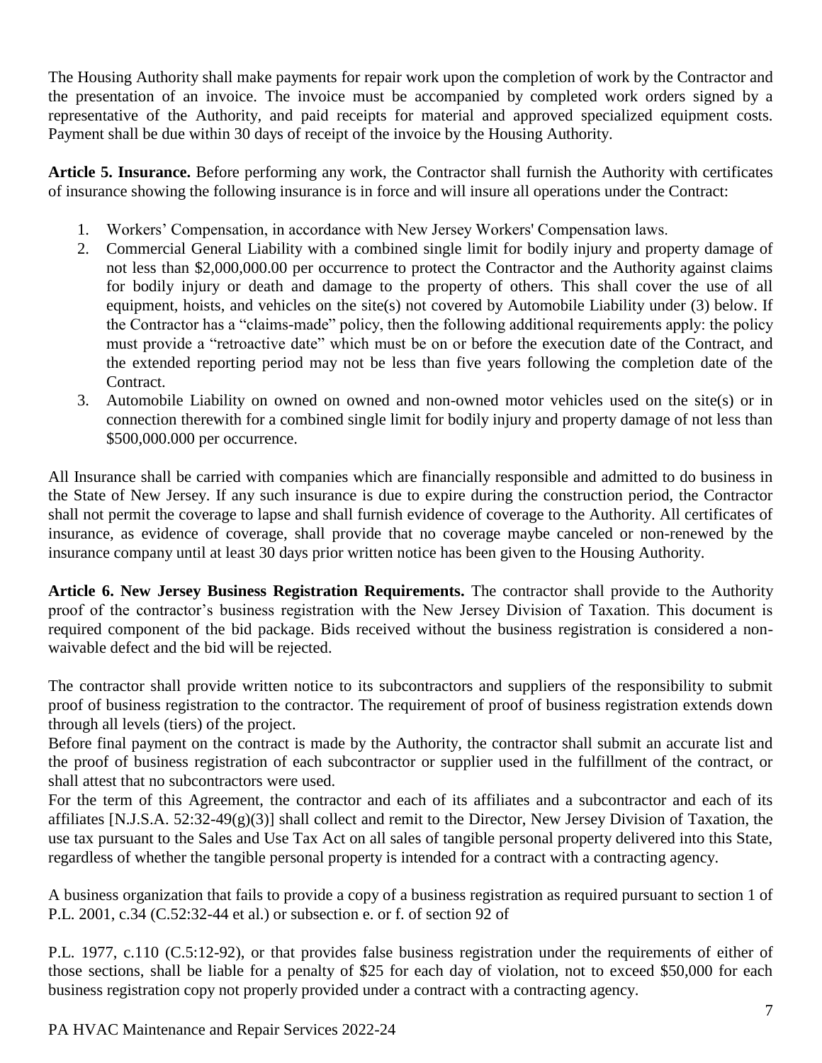The Housing Authority shall make payments for repair work upon the completion of work by the Contractor and the presentation of an invoice. The invoice must be accompanied by completed work orders signed by a representative of the Authority, and paid receipts for material and approved specialized equipment costs. Payment shall be due within 30 days of receipt of the invoice by the Housing Authority.

**Article 5. Insurance.** Before performing any work, the Contractor shall furnish the Authority with certificates of insurance showing the following insurance is in force and will insure all operations under the Contract:

- 1. Workers' Compensation, in accordance with New Jersey Workers' Compensation laws.
- 2. Commercial General Liability with a combined single limit for bodily injury and property damage of not less than \$2,000,000.00 per occurrence to protect the Contractor and the Authority against claims for bodily injury or death and damage to the property of others. This shall cover the use of all equipment, hoists, and vehicles on the site(s) not covered by Automobile Liability under (3) below. If the Contractor has a "claims-made" policy, then the following additional requirements apply: the policy must provide a "retroactive date" which must be on or before the execution date of the Contract, and the extended reporting period may not be less than five years following the completion date of the Contract.
- 3. Automobile Liability on owned on owned and non-owned motor vehicles used on the site(s) or in connection therewith for a combined single limit for bodily injury and property damage of not less than \$500,000.000 per occurrence.

All Insurance shall be carried with companies which are financially responsible and admitted to do business in the State of New Jersey. If any such insurance is due to expire during the construction period, the Contractor shall not permit the coverage to lapse and shall furnish evidence of coverage to the Authority. All certificates of insurance, as evidence of coverage, shall provide that no coverage maybe canceled or non-renewed by the insurance company until at least 30 days prior written notice has been given to the Housing Authority.

**Article 6. New Jersey Business Registration Requirements.** The contractor shall provide to the Authority proof of the contractor's business registration with the New Jersey Division of Taxation. This document is required component of the bid package. Bids received without the business registration is considered a nonwaivable defect and the bid will be rejected.

The contractor shall provide written notice to its subcontractors and suppliers of the responsibility to submit proof of business registration to the contractor. The requirement of proof of business registration extends down through all levels (tiers) of the project.

Before final payment on the contract is made by the Authority, the contractor shall submit an accurate list and the proof of business registration of each subcontractor or supplier used in the fulfillment of the contract, or shall attest that no subcontractors were used.

For the term of this Agreement, the contractor and each of its affiliates and a subcontractor and each of its affiliates [N.J.S.A. 52:32-49(g)(3)] shall collect and remit to the Director, New Jersey Division of Taxation, the use tax pursuant to the Sales and Use Tax Act on all sales of tangible personal property delivered into this State, regardless of whether the tangible personal property is intended for a contract with a contracting agency.

A business organization that fails to provide a copy of a business registration as required pursuant to section 1 of P.L. 2001, c.34 (C.52:32-44 et al.) or subsection e. or f. of section 92 of

P.L. 1977, c.110 (C.5:12-92), or that provides false business registration under the requirements of either of those sections, shall be liable for a penalty of \$25 for each day of violation, not to exceed \$50,000 for each business registration copy not properly provided under a contract with a contracting agency.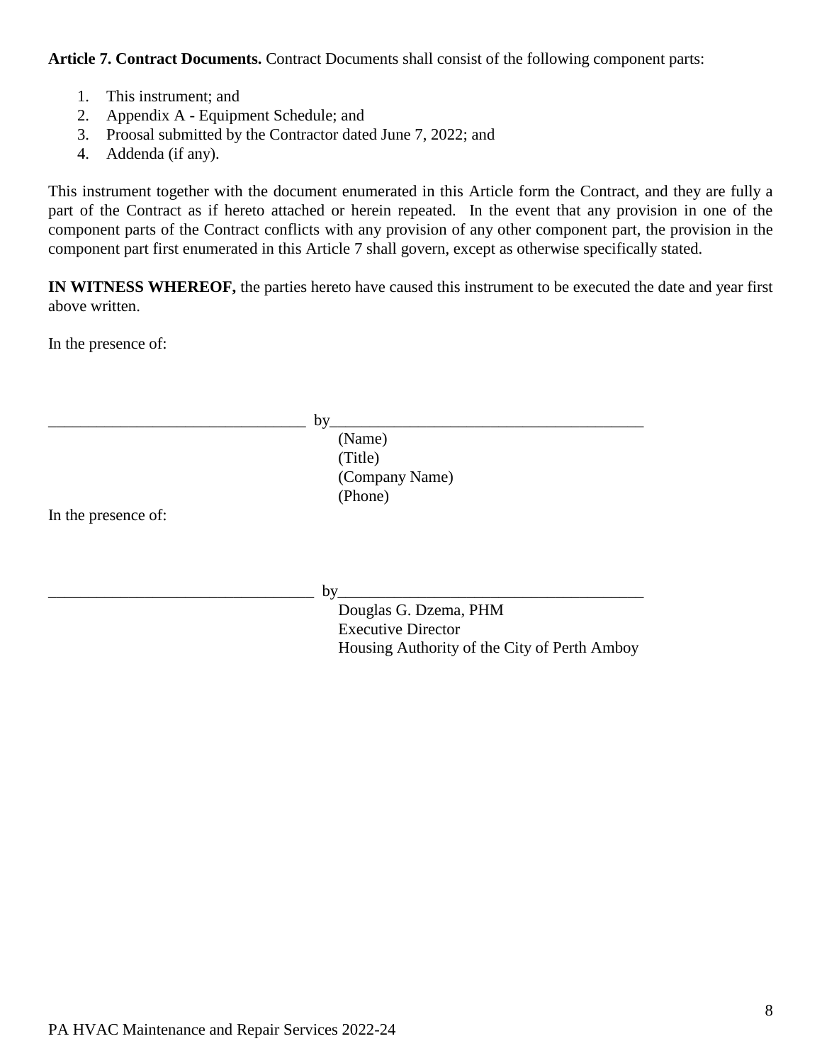**Article 7. Contract Documents.** Contract Documents shall consist of the following component parts:

- 1. This instrument; and
- 2. Appendix A Equipment Schedule; and
- 3. Proosal submitted by the Contractor dated June 7, 2022; and
- 4. Addenda (if any).

This instrument together with the document enumerated in this Article form the Contract, and they are fully a part of the Contract as if hereto attached or herein repeated. In the event that any provision in one of the component parts of the Contract conflicts with any provision of any other component part, the provision in the component part first enumerated in this Article 7 shall govern, except as otherwise specifically stated.

**IN WITNESS WHEREOF,** the parties hereto have caused this instrument to be executed the date and year first above written.

In the presence of:

|                     | by                                           |
|---------------------|----------------------------------------------|
|                     | (Name)                                       |
|                     | (Title)                                      |
|                     | (Company Name)                               |
|                     | (Phone)                                      |
| In the presence of: |                                              |
|                     |                                              |
|                     |                                              |
|                     |                                              |
|                     | by                                           |
|                     | Douglas G. Dzema, PHM                        |
|                     | <b>Executive Director</b>                    |
|                     | Housing Authority of the City of Perth Amboy |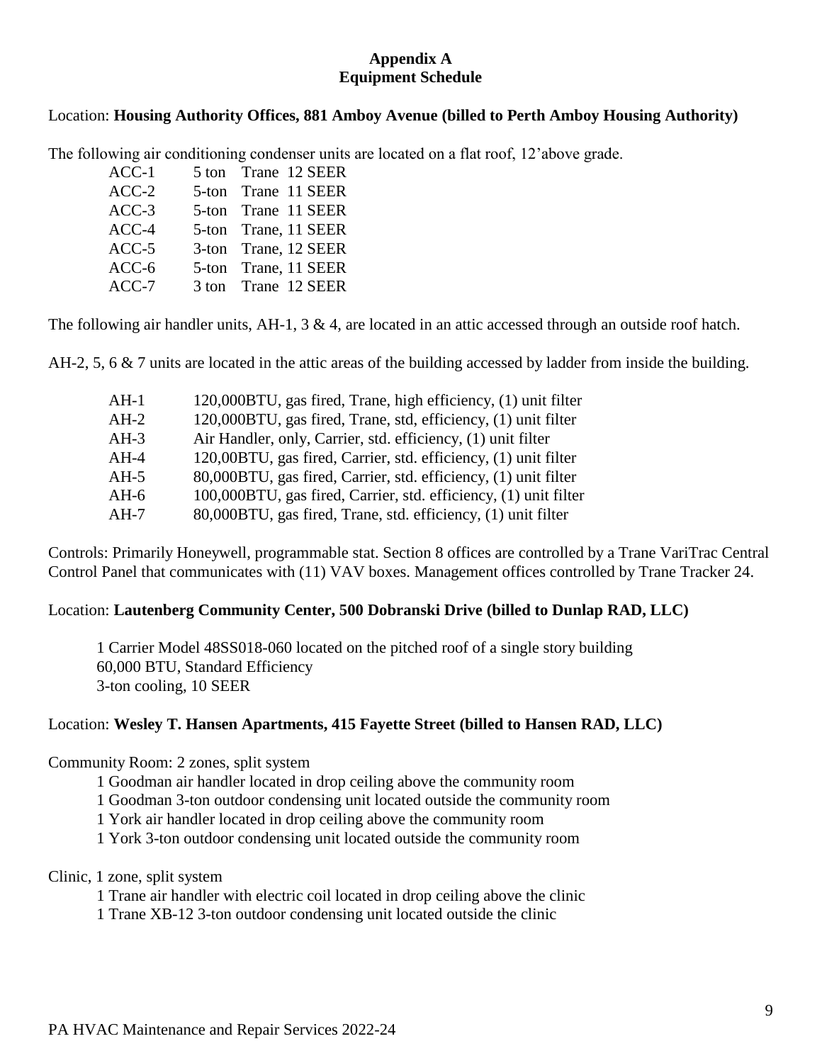#### **Appendix A Equipment Schedule**

#### Location: **Housing Authority Offices, 881 Amboy Avenue (billed to Perth Amboy Housing Authority)**

The following air conditioning condenser units are located on a flat roof, 12'above grade.

| 5 ton Trane 12 SEER<br>$ACC-1$  |  |
|---------------------------------|--|
| $ACC-2$<br>5-ton Trane 11 SEER  |  |
| $ACC-3$<br>5-ton Trane 11 SEER  |  |
| ACC-4<br>5-ton Trane, 11 SEER   |  |
| $ACC-5$<br>3-ton Trane, 12 SEER |  |
| $ACC-6$<br>5-ton Trane, 11 SEER |  |
| $ACC-7$<br>3 ton Trane 12 SEER  |  |

The following air handler units, AH-1, 3 & 4, are located in an attic accessed through an outside roof hatch.

AH-2, 5, 6 & 7 units are located in the attic areas of the building accessed by ladder from inside the building.

| $AH-1$ | 120,000BTU, gas fired, Trane, high efficiency, (1) unit filter   |
|--------|------------------------------------------------------------------|
| $AH-2$ | 120,000BTU, gas fired, Trane, std, efficiency, (1) unit filter   |
| $AH-3$ | Air Handler, only, Carrier, std. efficiency, (1) unit filter     |
| $AH-4$ | 120,00BTU, gas fired, Carrier, std. efficiency, (1) unit filter  |
| $AH-5$ | 80,000BTU, gas fired, Carrier, std. efficiency, (1) unit filter  |
| $AH-6$ | 100,000BTU, gas fired, Carrier, std. efficiency, (1) unit filter |
| $AH-7$ | 80,000BTU, gas fired, Trane, std. efficiency, (1) unit filter    |

Controls: Primarily Honeywell, programmable stat. Section 8 offices are controlled by a Trane VariTrac Central Control Panel that communicates with (11) VAV boxes. Management offices controlled by Trane Tracker 24.

#### Location: **Lautenberg Community Center, 500 Dobranski Drive (billed to Dunlap RAD, LLC)**

1 Carrier Model 48SS018-060 located on the pitched roof of a single story building 60,000 BTU, Standard Efficiency 3-ton cooling, 10 SEER

#### Location: **Wesley T. Hansen Apartments, 415 Fayette Street (billed to Hansen RAD, LLC)**

Community Room: 2 zones, split system

1 Goodman air handler located in drop ceiling above the community room

1 Goodman 3-ton outdoor condensing unit located outside the community room

1 York air handler located in drop ceiling above the community room

1 York 3-ton outdoor condensing unit located outside the community room

#### Clinic, 1 zone, split system

1 Trane air handler with electric coil located in drop ceiling above the clinic

1 Trane XB-12 3-ton outdoor condensing unit located outside the clinic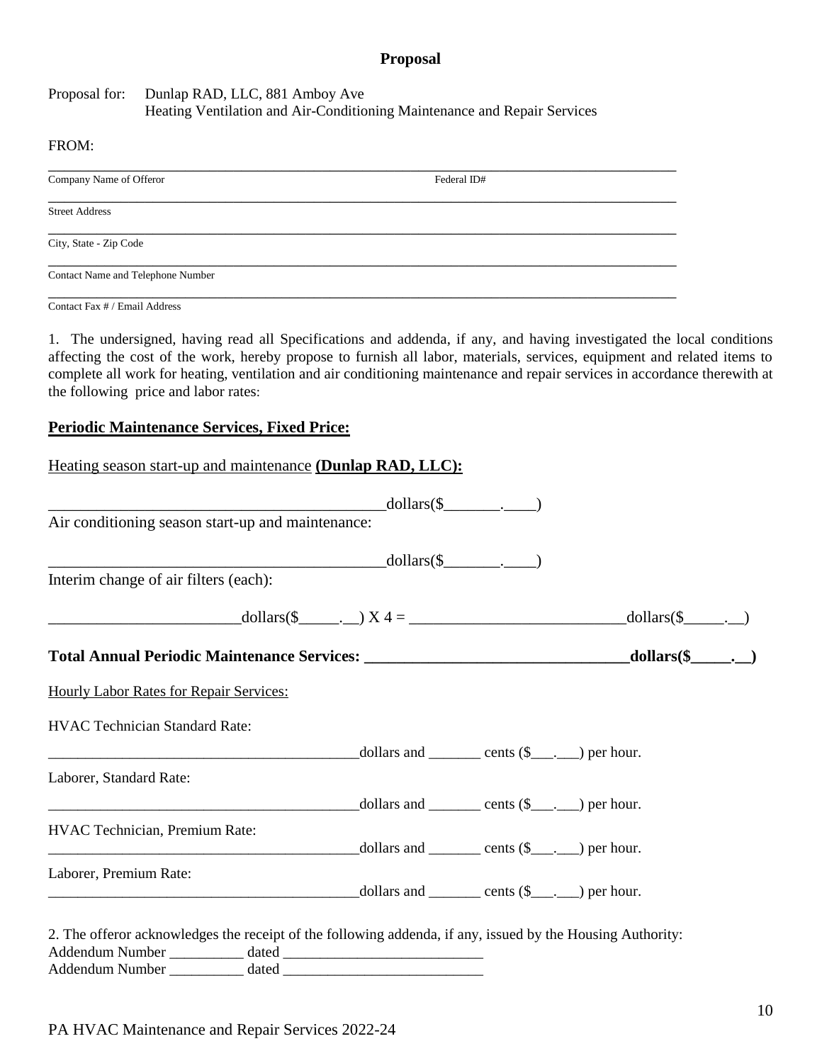#### **Proposal**

#### Proposal for: Dunlap RAD, LLC, 881 Amboy Ave Heating Ventilation and Air-Conditioning Maintenance and Repair Services

#### FROM:

| Company Name of Offeror           | Federal ID# |
|-----------------------------------|-------------|
| <b>Street Address</b>             |             |
| City, State - Zip Code            |             |
| Contact Name and Telephone Number |             |

Contact Fax # / Email Address

1. The undersigned, having read all Specifications and addenda, if any, and having investigated the local conditions affecting the cost of the work, hereby propose to furnish all labor, materials, services, equipment and related items to complete all work for heating, ventilation and air conditioning maintenance and repair services in accordance therewith at the following price and labor rates:

#### **Periodic Maintenance Services, Fixed Price:**

| Heating season start-up and maintenance (Dunlap RAD, LLC):                                                                                                                                                                                                               |                              |                                                                        |  |
|--------------------------------------------------------------------------------------------------------------------------------------------------------------------------------------------------------------------------------------------------------------------------|------------------------------|------------------------------------------------------------------------|--|
|                                                                                                                                                                                                                                                                          | $\longrightarrow$ dollars(\$ |                                                                        |  |
| Air conditioning season start-up and maintenance:                                                                                                                                                                                                                        |                              |                                                                        |  |
|                                                                                                                                                                                                                                                                          | $\longrightarrow$ dollars(\$ |                                                                        |  |
| Interim change of air filters (each):                                                                                                                                                                                                                                    |                              |                                                                        |  |
| $\text{dollars}(\text{\$}\_\_\_\_)\ X \ 4 = \_\_\_\_\_\_\_\_$ dollars(\$\omega_{\math}{\math}\$\sqrt{\math}\$\sqrt{\math}\$\sqrt{\math}\$\sqrt{\math}\$\sqrt{\math}\$\sqrt{\math}\$\sqrt{\math}\$\sqrt{\math}\$\sqrt{\math}\$\sqrt{\math}\$\sqrt{\math}\$\sqrt{\math}\$\ |                              |                                                                        |  |
|                                                                                                                                                                                                                                                                          |                              |                                                                        |  |
| <b>Hourly Labor Rates for Repair Services:</b>                                                                                                                                                                                                                           |                              |                                                                        |  |
| <b>HVAC Technician Standard Rate:</b>                                                                                                                                                                                                                                    |                              |                                                                        |  |
| $\frac{1}{\text{dollars and } \underline{\hspace{1cm}}}$ cents $(\$\underline{\hspace{1cm}},\underline{\hspace{1cm}})$ per hour.                                                                                                                                         |                              |                                                                        |  |
| Laborer, Standard Rate:                                                                                                                                                                                                                                                  |                              |                                                                        |  |
|                                                                                                                                                                                                                                                                          |                              | $\text{\_dollars and}\_\_\_\_\_\$ cents $(\$ \_\_\_\_\_\_\)$ per hour. |  |
| HVAC Technician, Premium Rate:                                                                                                                                                                                                                                           |                              | $\text{\_dollars and}\_\_\_\_\_\$ cents $(\$ \_\_\_\_\_\_\)$ per hour. |  |
| Laborer, Premium Rate:                                                                                                                                                                                                                                                   |                              |                                                                        |  |
| 2. The offeror acknowledges the receipt of the following addenda, if any, issued by the Housing Authority:                                                                                                                                                               |                              |                                                                        |  |
|                                                                                                                                                                                                                                                                          |                              |                                                                        |  |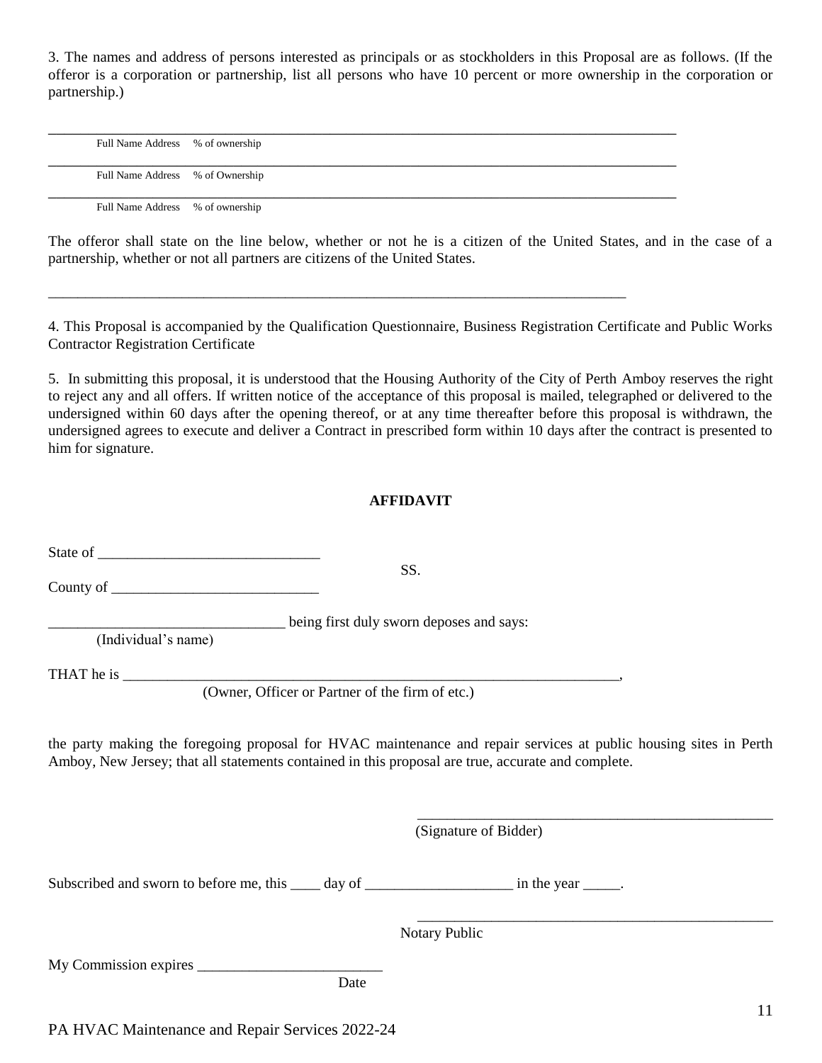3. The names and address of persons interested as principals or as stockholders in this Proposal are as follows. (If the offeror is a corporation or partnership, list all persons who have 10 percent or more ownership in the corporation or partnership.)

| Full Name Address % of ownership |  |
|----------------------------------|--|
|                                  |  |
| Full Name Address % of Ownership |  |
|                                  |  |
|                                  |  |
| Full Name Address % of ownership |  |

\_\_\_\_\_\_\_\_\_\_\_\_\_\_\_\_\_\_\_\_\_\_\_\_\_\_\_\_\_\_\_\_\_\_\_\_\_\_\_\_\_\_\_\_\_\_\_\_\_\_\_\_\_\_\_\_\_\_\_\_\_\_\_\_\_\_\_\_\_\_\_\_\_\_\_\_\_\_

The offeror shall state on the line below, whether or not he is a citizen of the United States, and in the case of a partnership, whether or not all partners are citizens of the United States.

4. This Proposal is accompanied by the Qualification Questionnaire, Business Registration Certificate and Public Works Contractor Registration Certificate

5. In submitting this proposal, it is understood that the Housing Authority of the City of Perth Amboy reserves the right to reject any and all offers. If written notice of the acceptance of this proposal is mailed, telegraphed or delivered to the undersigned within 60 days after the opening thereof, or at any time thereafter before this proposal is withdrawn, the undersigned agrees to execute and deliver a Contract in prescribed form within 10 days after the contract is presented to him for signature.

#### **AFFIDAVIT**

|                                                                                                    | SS.                                                                                                               |
|----------------------------------------------------------------------------------------------------|-------------------------------------------------------------------------------------------------------------------|
| being first duly sworn deposes and says:<br>(Individual's name)                                    |                                                                                                                   |
|                                                                                                    |                                                                                                                   |
| Amboy, New Jersey; that all statements contained in this proposal are true, accurate and complete. | the party making the foregoing proposal for HVAC maintenance and repair services at public housing sites in Perth |
|                                                                                                    | (Signature of Bidder)                                                                                             |
| Subscribed and sworn to before me, this _____ day of _________________________ in the year ______. |                                                                                                                   |
|                                                                                                    | Notary Public                                                                                                     |
| Date                                                                                               |                                                                                                                   |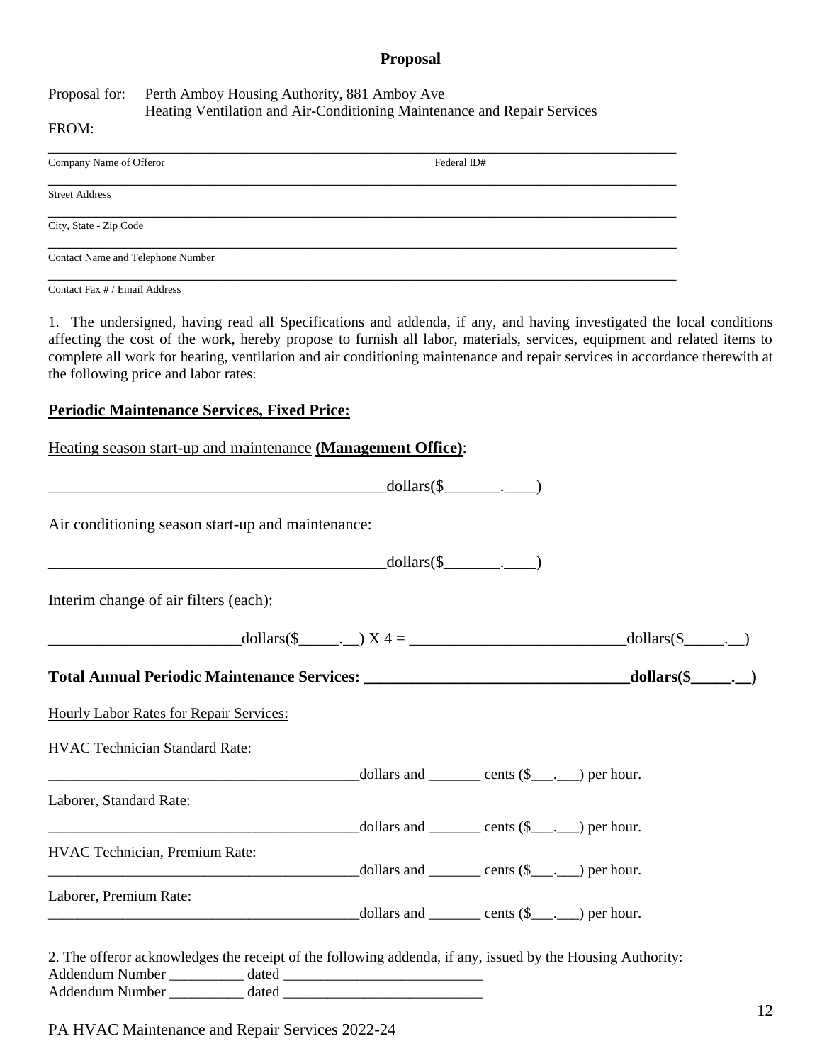#### **Proposal**

Proposal for: Perth Amboy Housing Authority, 881 Amboy Ave Heating Ventilation and Air-Conditioning Maintenance and Repair Services

\_\_\_\_\_\_\_\_\_\_\_\_\_\_\_\_\_\_\_\_\_\_\_\_\_\_\_\_\_\_\_\_\_\_\_\_\_\_\_\_\_\_\_\_\_\_\_\_\_\_\_\_\_\_\_\_\_\_\_\_\_\_\_\_\_\_\_\_\_\_\_\_\_\_\_\_\_\_

\_\_\_\_\_\_\_\_\_\_\_\_\_\_\_\_\_\_\_\_\_\_\_\_\_\_\_\_\_\_\_\_\_\_\_\_\_\_\_\_\_\_\_\_\_\_\_\_\_\_\_\_\_\_\_\_\_\_\_\_\_\_\_\_\_\_\_\_\_\_\_\_\_\_\_\_\_\_

\_\_\_\_\_\_\_\_\_\_\_\_\_\_\_\_\_\_\_\_\_\_\_\_\_\_\_\_\_\_\_\_\_\_\_\_\_\_\_\_\_\_\_\_\_\_\_\_\_\_\_\_\_\_\_\_\_\_\_\_\_\_\_\_\_\_\_\_\_\_\_\_\_\_\_\_\_\_

\_\_\_\_\_\_\_\_\_\_\_\_\_\_\_\_\_\_\_\_\_\_\_\_\_\_\_\_\_\_\_\_\_\_\_\_\_\_\_\_\_\_\_\_\_\_\_\_\_\_\_\_\_\_\_\_\_\_\_\_\_\_\_\_\_\_\_\_\_\_\_\_\_\_\_\_\_\_

#### FROM:

Company Name of Offeror Federal ID#

Street Address

City, State - Zip Code

Contact Name and Telephone Number

\_\_\_\_\_\_\_\_\_\_\_\_\_\_\_\_\_\_\_\_\_\_\_\_\_\_\_\_\_\_\_\_\_\_\_\_\_\_\_\_\_\_\_\_\_\_\_\_\_\_\_\_\_\_\_\_\_\_\_\_\_\_\_\_\_\_\_\_\_\_\_\_\_\_\_\_\_\_ Contact Fax # / Email Address

1. The undersigned, having read all Specifications and addenda, if any, and having investigated the local conditions affecting the cost of the work, hereby propose to furnish all labor, materials, services, equipment and related items to complete all work for heating, ventilation and air conditioning maintenance and repair services in accordance therewith at the following price and labor rates:

#### **Periodic Maintenance Services, Fixed Price:**

| Heating season start-up and maintenance (Management Office):                                                                                                                                                                                         |  |  |
|------------------------------------------------------------------------------------------------------------------------------------------------------------------------------------------------------------------------------------------------------|--|--|
| $\longrightarrow$ dollars(\$                                                                                                                                                                                                                         |  |  |
| Air conditioning season start-up and maintenance:                                                                                                                                                                                                    |  |  |
| $\longrightarrow$ dollars(\$                                                                                                                                                                                                                         |  |  |
| Interim change of air filters (each):                                                                                                                                                                                                                |  |  |
| $\text{dollars}(\text{\$}\_\_\_)$ $X4 = \_\_\_\_\_\_$ dollars(\formation) and \text{\bmation}{\bmation}} and \text{\bmation}} and \text{\bmation}} and \text{\bmation}} and \text{\bmation}} and \text{\bmation}} and \text{\bmation}} and \text{\bm |  |  |
|                                                                                                                                                                                                                                                      |  |  |
| <b>Hourly Labor Rates for Repair Services:</b>                                                                                                                                                                                                       |  |  |
| <b>HVAC Technician Standard Rate:</b>                                                                                                                                                                                                                |  |  |
| $\frac{1}{2}$ dollars and $\frac{1}{2}$ cents (\$) per hour.                                                                                                                                                                                         |  |  |
| Laborer, Standard Rate:                                                                                                                                                                                                                              |  |  |
| $\frac{1}{\text{dollars and } \text{cents }(\text{\$})\text{ per hour.}}$                                                                                                                                                                            |  |  |
| HVAC Technician, Premium Rate:<br>$\text{collars}$ and $\text{cents } (\$ \_\_\_.)$ per hour.                                                                                                                                                        |  |  |
| Laborer, Premium Rate:                                                                                                                                                                                                                               |  |  |
| 2. The offeror acknowledges the receipt of the following addenda, if any, issued by the Housing Authority:                                                                                                                                           |  |  |
|                                                                                                                                                                                                                                                      |  |  |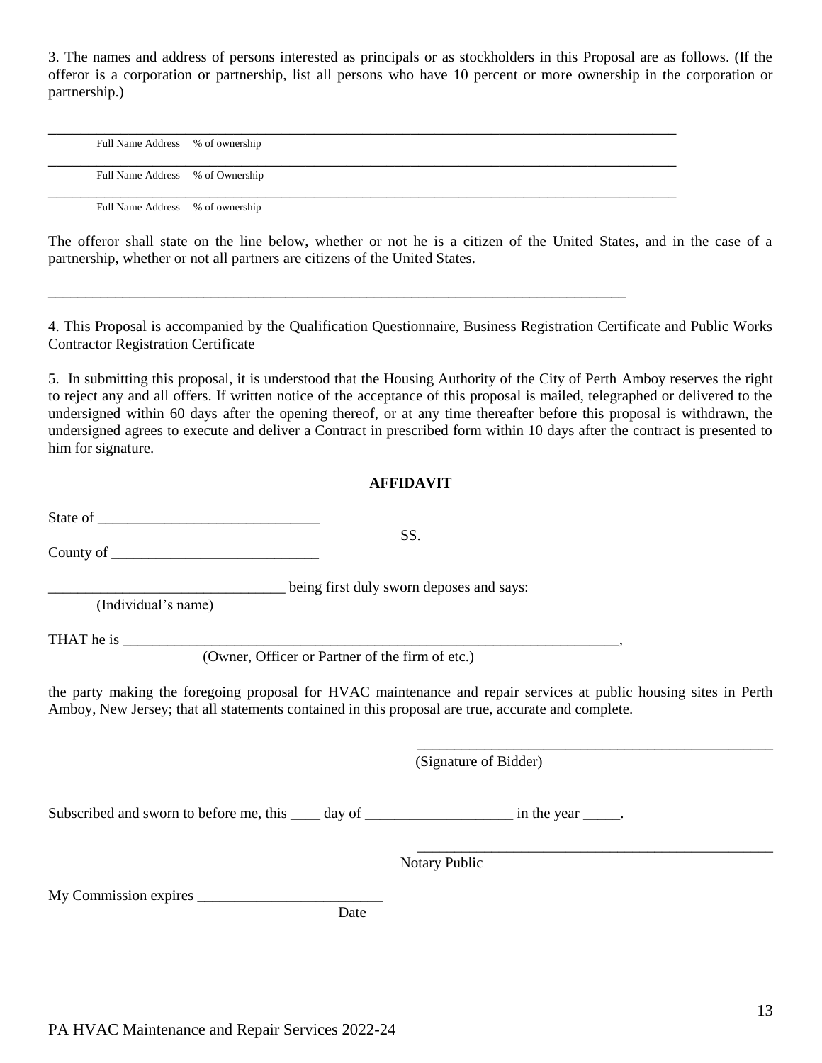3. The names and address of persons interested as principals or as stockholders in this Proposal are as follows. (If the offeror is a corporation or partnership, list all persons who have 10 percent or more ownership in the corporation or partnership.)

| Full Name Address % of ownership |  |
|----------------------------------|--|
|                                  |  |
| Full Name Address % of Ownership |  |
|                                  |  |
| Full Name Address % of ownership |  |

\_\_\_\_\_\_\_\_\_\_\_\_\_\_\_\_\_\_\_\_\_\_\_\_\_\_\_\_\_\_\_\_\_\_\_\_\_\_\_\_\_\_\_\_\_\_\_\_\_\_\_\_\_\_\_\_\_\_\_\_\_\_\_\_\_\_\_\_\_\_\_\_\_\_\_\_\_\_

The offeror shall state on the line below, whether or not he is a citizen of the United States, and in the case of a partnership, whether or not all partners are citizens of the United States.

4. This Proposal is accompanied by the Qualification Questionnaire, Business Registration Certificate and Public Works Contractor Registration Certificate

5. In submitting this proposal, it is understood that the Housing Authority of the City of Perth Amboy reserves the right to reject any and all offers. If written notice of the acceptance of this proposal is mailed, telegraphed or delivered to the undersigned within 60 days after the opening thereof, or at any time thereafter before this proposal is withdrawn, the undersigned agrees to execute and deliver a Contract in prescribed form within 10 days after the contract is presented to him for signature.

#### **AFFIDAVIT**

SS.

State of

County of  $\_\_$ 

being first duly sworn deposes and says:

(Individual's name)

THAT he is \_\_\_\_\_\_\_\_\_\_\_\_\_\_\_\_\_\_\_\_\_\_\_\_\_\_\_\_\_\_\_\_\_\_\_\_\_\_\_\_\_\_\_\_\_\_\_\_\_\_\_\_\_\_\_\_\_\_\_\_\_\_\_\_\_\_\_,

(Owner, Officer or Partner of the firm of etc.)

the party making the foregoing proposal for HVAC maintenance and repair services at public housing sites in Perth Amboy, New Jersey; that all statements contained in this proposal are true, accurate and complete.

(Signature of Bidder)

\_\_\_\_\_\_\_\_\_\_\_\_\_\_\_\_\_\_\_\_\_\_\_\_\_\_\_\_\_\_\_\_\_\_\_\_\_\_\_\_\_\_\_\_\_\_\_\_

\_\_\_\_\_\_\_\_\_\_\_\_\_\_\_\_\_\_\_\_\_\_\_\_\_\_\_\_\_\_\_\_\_\_\_\_\_\_\_\_\_\_\_\_\_\_\_\_

Subscribed and sworn to before me, this day of  $\qquad \qquad$  in the year  $\qquad \qquad$ .

Notary Public

My Commission expires

**Date** Date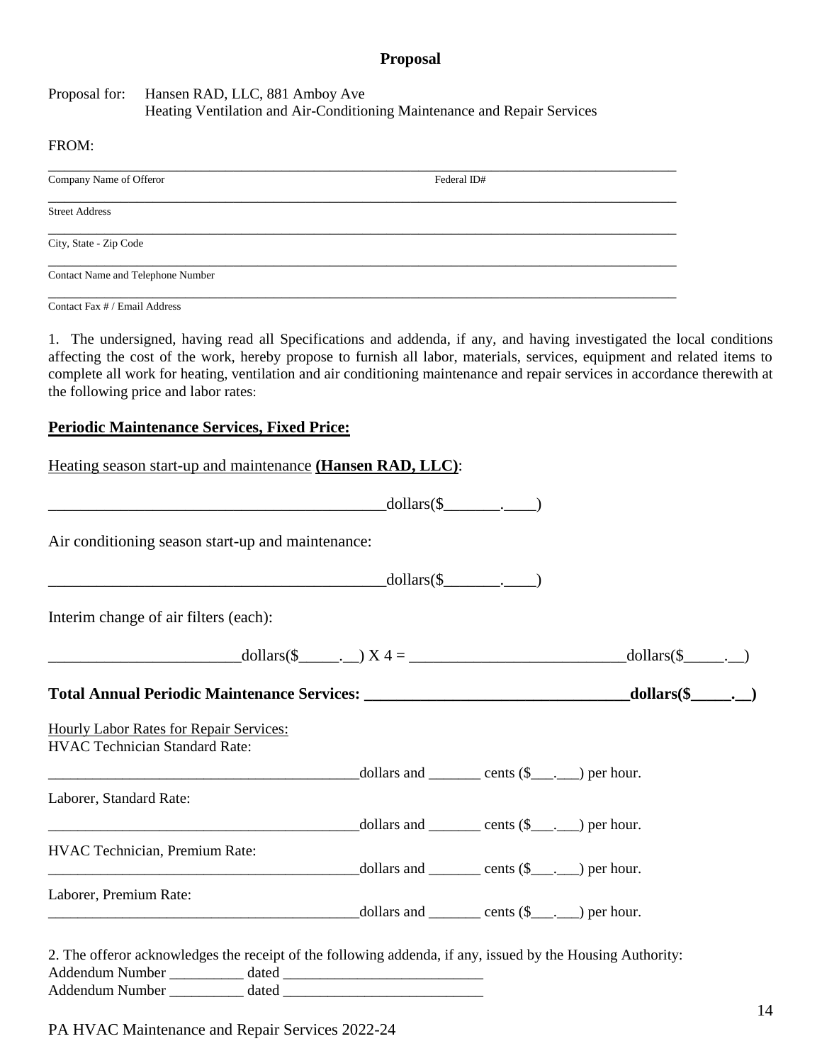#### **Proposal**

#### Proposal for: Hansen RAD, LLC, 881 Amboy Ave Heating Ventilation and Air-Conditioning Maintenance and Repair Services

#### FROM:

| Company Name of Offeror           | Federal ID# |
|-----------------------------------|-------------|
| <b>Street Address</b>             |             |
|                                   |             |
| City, State - Zip Code            |             |
| Contact Name and Telephone Number |             |

Contact Fax # / Email Address

1. The undersigned, having read all Specifications and addenda, if any, and having investigated the local conditions affecting the cost of the work, hereby propose to furnish all labor, materials, services, equipment and related items to complete all work for heating, ventilation and air conditioning maintenance and repair services in accordance therewith at the following price and labor rates:

#### **Periodic Maintenance Services, Fixed Price:**

| Heating season start-up and maintenance (Hansen RAD, LLC):                                                                                                                                                                                           |  |  |  |
|------------------------------------------------------------------------------------------------------------------------------------------------------------------------------------------------------------------------------------------------------|--|--|--|
| $\text{dollars}(\text{\$}\_\_ \_ \_ \_$                                                                                                                                                                                                              |  |  |  |
| Air conditioning season start-up and maintenance:                                                                                                                                                                                                    |  |  |  |
| $\longrightarrow$ dollars(\$                                                                                                                                                                                                                         |  |  |  |
| Interim change of air filters (each):                                                                                                                                                                                                                |  |  |  |
| $\text{dollars}(\text{\$}\_\_\_)$ $X4 = \_\_\_\_\_\_$ dollars(\formational) and \text{\sigma_{\sigma_{\sigma_{\sigma_{\sigma_{\sigma_{\sigma_{\sigma_{\sigma_{\sigma_{\sigma_{\sigma_{\sigma_{\sigma_{\sigma_{\sigma_{\sigma_{\sigma_{\sigma_{\sigma |  |  |  |
|                                                                                                                                                                                                                                                      |  |  |  |
| Hourly Labor Rates for Repair Services:<br><b>HVAC Technician Standard Rate:</b>                                                                                                                                                                     |  |  |  |
|                                                                                                                                                                                                                                                      |  |  |  |
| Laborer, Standard Rate:                                                                                                                                                                                                                              |  |  |  |
| $\frac{1}{2}$ dollars and $\frac{1}{2}$ cents $(\frac{1}{2}, \frac{1}{2})$ per hour.                                                                                                                                                                 |  |  |  |
| HVAC Technician, Premium Rate:<br>$\frac{1}{\text{dollars and } \text{const}}$ cents $(\text{S}_{\text{max}})$ per hour.                                                                                                                             |  |  |  |
| Laborer, Premium Rate:<br>$\frac{1}{\text{dollars and } \underline{\hspace{1cm}}}$ cents $(\hat{\mathbf{S}} \underline{\hspace{1cm}}, \underline{\hspace{1cm}})$ per hour.                                                                           |  |  |  |
| 2. The offeror acknowledges the receipt of the following addenda, if any, issued by the Housing Authority:                                                                                                                                           |  |  |  |
|                                                                                                                                                                                                                                                      |  |  |  |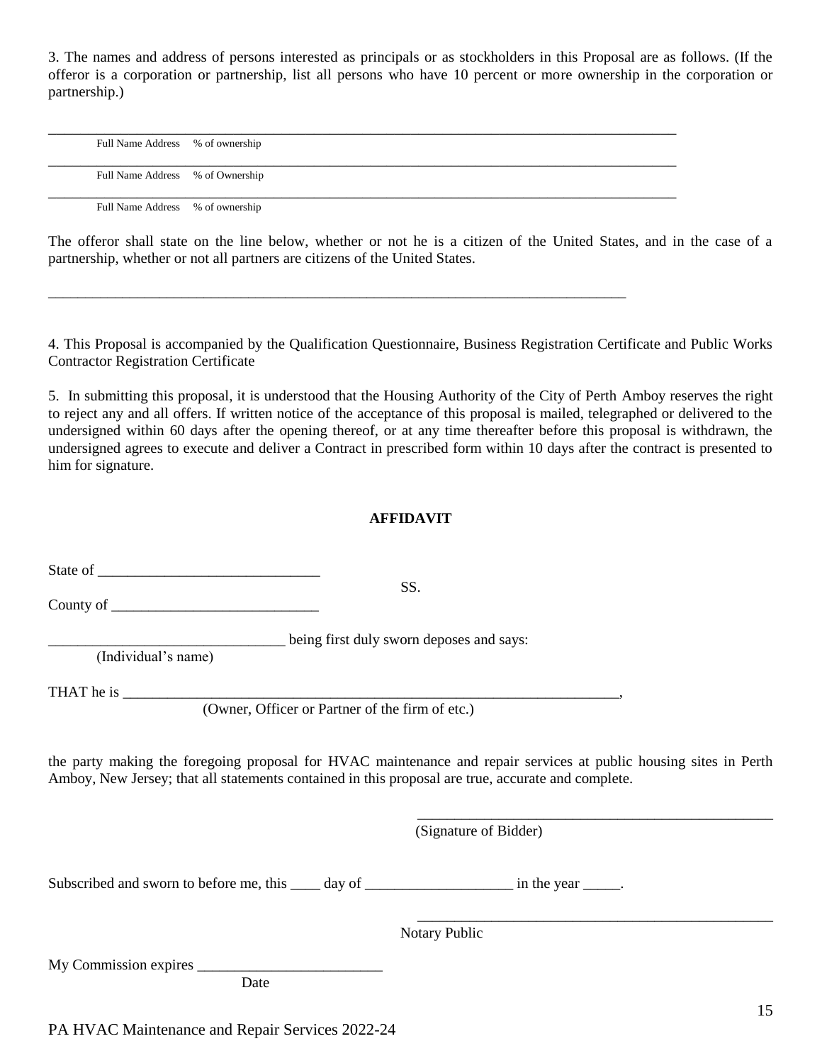3. The names and address of persons interested as principals or as stockholders in this Proposal are as follows. (If the offeror is a corporation or partnership, list all persons who have 10 percent or more ownership in the corporation or partnership.)

| Full Name Address % of ownership |  |
|----------------------------------|--|
|                                  |  |
| Full Name Address % of Ownership |  |
|                                  |  |
|                                  |  |
| Full Name Address % of ownership |  |

\_\_\_\_\_\_\_\_\_\_\_\_\_\_\_\_\_\_\_\_\_\_\_\_\_\_\_\_\_\_\_\_\_\_\_\_\_\_\_\_\_\_\_\_\_\_\_\_\_\_\_\_\_\_\_\_\_\_\_\_\_\_\_\_\_\_\_\_\_\_\_\_\_\_\_\_\_\_

The offeror shall state on the line below, whether or not he is a citizen of the United States, and in the case of a partnership, whether or not all partners are citizens of the United States.

4. This Proposal is accompanied by the Qualification Questionnaire, Business Registration Certificate and Public Works Contractor Registration Certificate

5. In submitting this proposal, it is understood that the Housing Authority of the City of Perth Amboy reserves the right to reject any and all offers. If written notice of the acceptance of this proposal is mailed, telegraphed or delivered to the undersigned within 60 days after the opening thereof, or at any time thereafter before this proposal is withdrawn, the undersigned agrees to execute and deliver a Contract in prescribed form within 10 days after the contract is presented to him for signature.

#### **AFFIDAVIT**

| County of $\frac{1}{\sqrt{1-\frac{1}{2}}}\left\vert \frac{1}{\sqrt{1-\frac{1}{2}}}\right\vert$     | SS.                                                                                                               |
|----------------------------------------------------------------------------------------------------|-------------------------------------------------------------------------------------------------------------------|
| (Individual's name)                                                                                | being first duly sworn deposes and says:                                                                          |
| (Owner, Officer or Partner of the firm of etc.)                                                    |                                                                                                                   |
| Amboy, New Jersey; that all statements contained in this proposal are true, accurate and complete. | the party making the foregoing proposal for HVAC maintenance and repair services at public housing sites in Perth |
|                                                                                                    | (Signature of Bidder)                                                                                             |
| Subscribed and sworn to before me, this _____ day of ________________________ in the year ______.  |                                                                                                                   |
|                                                                                                    | Notary Public                                                                                                     |
|                                                                                                    |                                                                                                                   |
| Date                                                                                               |                                                                                                                   |

PA HVAC Maintenance and Repair Services 2022-24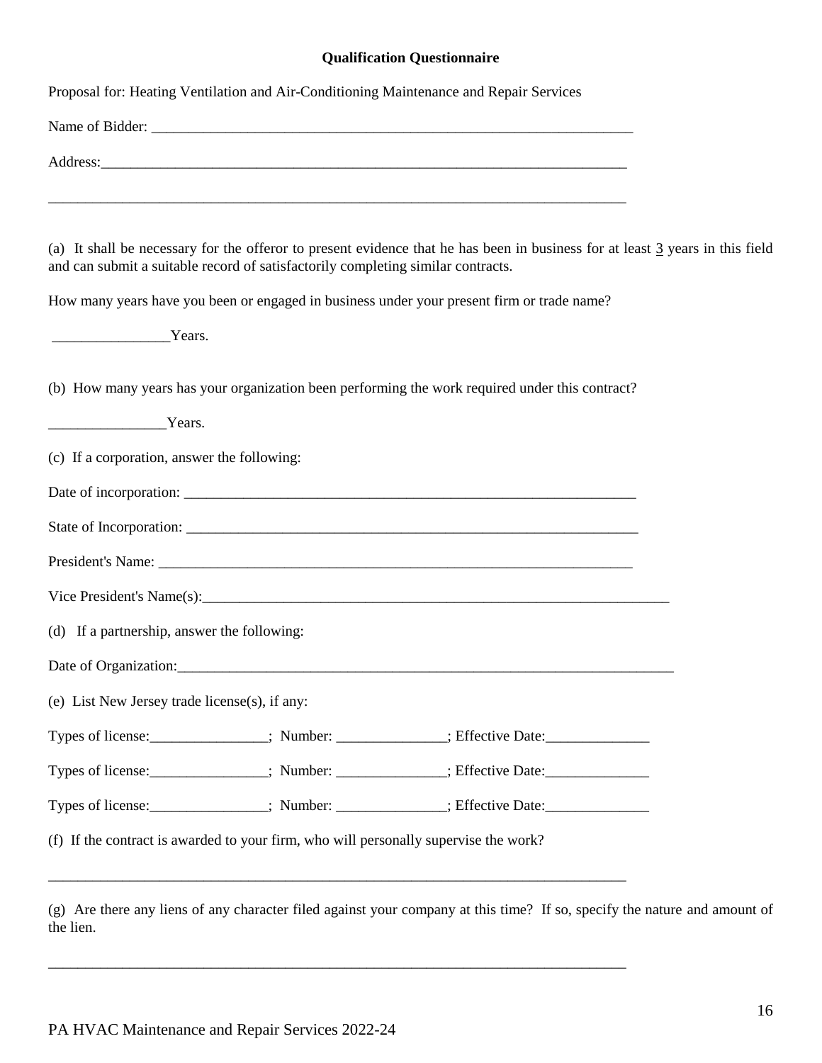#### **Qualification Questionnaire**

|                                               |                                                                                      | Proposal for: Heating Ventilation and Air-Conditioning Maintenance and Repair Services                                        |  |
|-----------------------------------------------|--------------------------------------------------------------------------------------|-------------------------------------------------------------------------------------------------------------------------------|--|
|                                               |                                                                                      |                                                                                                                               |  |
|                                               |                                                                                      |                                                                                                                               |  |
|                                               |                                                                                      | <u> 1989 - Johann Stoff, deutscher Stoff, der Stoff, der Stoff, der Stoff, der Stoff, der Stoff, der Stoff, der S</u>         |  |
|                                               | and can submit a suitable record of satisfactorily completing similar contracts.     | (a) It shall be necessary for the offeror to present evidence that he has been in business for at least 3 years in this field |  |
|                                               |                                                                                      | How many years have you been or engaged in business under your present firm or trade name?                                    |  |
| Years.                                        |                                                                                      |                                                                                                                               |  |
|                                               |                                                                                      | (b) How many years has your organization been performing the work required under this contract?                               |  |
| Years.                                        |                                                                                      |                                                                                                                               |  |
| (c) If a corporation, answer the following:   |                                                                                      |                                                                                                                               |  |
|                                               |                                                                                      |                                                                                                                               |  |
|                                               |                                                                                      |                                                                                                                               |  |
|                                               |                                                                                      |                                                                                                                               |  |
|                                               |                                                                                      |                                                                                                                               |  |
| (d) If a partnership, answer the following:   |                                                                                      |                                                                                                                               |  |
|                                               |                                                                                      |                                                                                                                               |  |
| (e) List New Jersey trade license(s), if any: |                                                                                      |                                                                                                                               |  |
|                                               |                                                                                      | Types of license:<br>Figures: Number: _________; Effective Date:                                                              |  |
|                                               |                                                                                      | Types of license: ______________; Number: ____________; Effective Date: ________________________;                             |  |
|                                               |                                                                                      | Types of license: ______________; Number: ____________; Effective Date: _________________________;                            |  |
|                                               | (f) If the contract is awarded to your firm, who will personally supervise the work? |                                                                                                                               |  |
|                                               |                                                                                      |                                                                                                                               |  |
|                                               |                                                                                      |                                                                                                                               |  |

(g) Are there any liens of any character filed against your company at this time? If so, specify the nature and amount of the lien.

\_\_\_\_\_\_\_\_\_\_\_\_\_\_\_\_\_\_\_\_\_\_\_\_\_\_\_\_\_\_\_\_\_\_\_\_\_\_\_\_\_\_\_\_\_\_\_\_\_\_\_\_\_\_\_\_\_\_\_\_\_\_\_\_\_\_\_\_\_\_\_\_\_\_\_\_\_\_